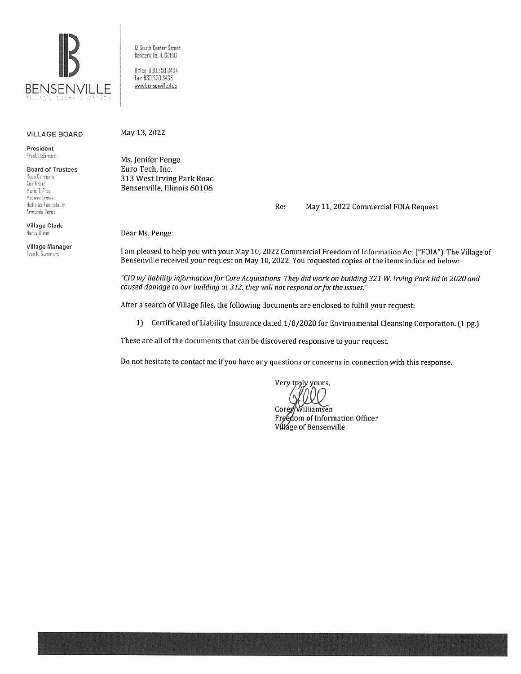

12 South Center Street Hensemille. IL 60I06 Office: 630.350.3404 fax 630.350.3438 www.bensenville.il.us

## **VILLAGE BOARD**

**President**  frank OeSimonc

**Board of Trustees**  Rosa Carmona Ann Franz Marie T. Frey McLane Lomax Nicholas Panicola Jr. Armando Perez

Village Clerk Nancy Quinn

Village Manager Evan K. Summers

May 13, 2022

Ms. Jenifer Penge Euro Tech, Inc. 313 West Irving Park Road Bensenville, Illinois 60106

Re: May 11, 2022 Commercial FOIA Request

Dear Ms. Penge:

I am pleased to help you with your May 10, 2022 Commercial Freedom of Information Act ("FOIA"). The Village of Bensenville received your request on May 10, 2022. You requested copies of the items indicated below:

*"C/0 w/ liability information for Core Acquisitions. They did work on building 321 W. Irving Park Rd in 2020 and caused damage to our building at 312, they will not respond or fix the issues."* 

After a search of Village files, the following documents are enclosed to fulfill your request:

1) Certificated of Liability Insurance dated 1/8/2020 for Environmental Cleansing Corporation. (1 pg.)

These are all of the documents that can be discovered responsive to your request.

Do not hesitate to contact me if you have any questions or concerns in connection with this response.

Very troly yours,

Corey/Williamsen Freedom of Information Officer Village of Bensenville